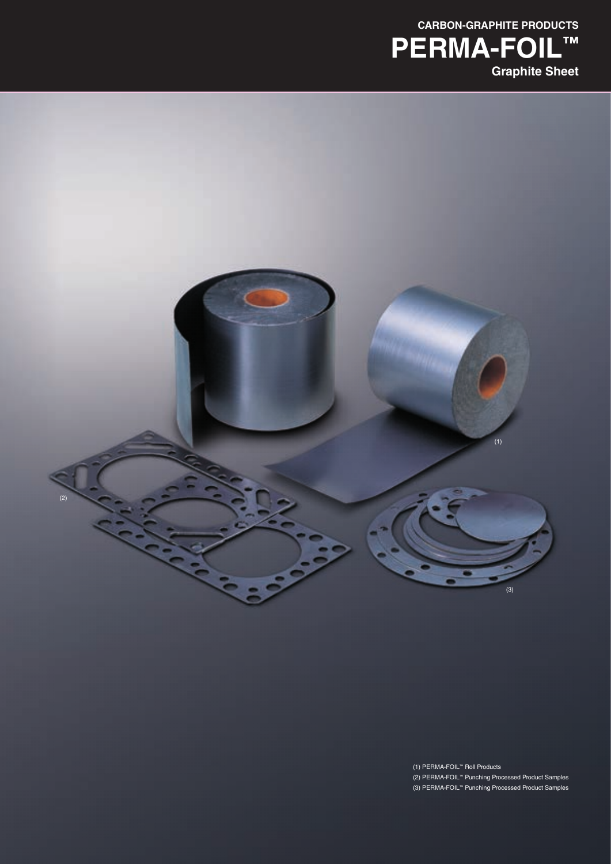



(1) PERMA-FOIL™ Roll Products (2) PERMA-FOIL™ Punching Processed Product Samples (3) PERMA-FOIL™ Punching Processed Product Samples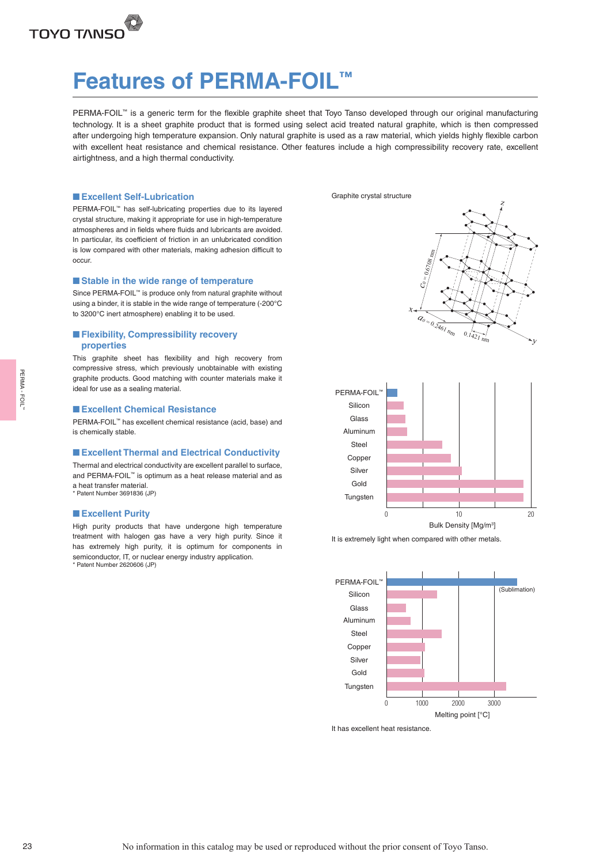

# **Features of PERMA-FOIL™**

PERMA-FOIL™ is a generic term for the flexible graphite sheet that Toyo Tanso developed through our original manufacturing technology. It is a sheet graphite product that is formed using select acid treated natural graphite, which is then compressed after undergoing high temperature expansion. Only natural graphite is used as a raw material, which yields highly flexible carbon with excellent heat resistance and chemical resistance. Other features include a high compressibility recovery rate, excellent airtightness, and a high thermal conductivity.

### ■ **Excellent Self-Lubrication**

PERMA-FOIL™ has self-lubricating properties due to its layered crystal structure, making it appropriate for use in high-temperature atmospheres and in fields where fluids and lubricants are avoided. In particular, its coefficient of friction in an unlubricated condition is low compared with other materials, making adhesion difficult to occur.

#### ■ Stable in the wide range of temperature

Since PERMA-FOIL™ is produce only from natural graphite without using a binder, it is stable in the wide range of temperature (-200°C to 3200°C inert atmosphere) enabling it to be used.

### ■ **Flexibility, Compressibility recovery properties**

This graphite sheet has flexibility and high recovery from compressive stress, which previously unobtainable with existing graphite products. Good matching with counter materials make it ideal for use as a sealing material.

### ■ **Excellent Chemical Resistance**

PERMA-FOIL™ has excellent chemical resistance (acid, base) and is chemically stable.

### ■ **Excellent Thermal and Electrical Conductivity**

Thermal and electrical conductivity are excellent parallel to surface, and PERMA-FOIL™ is optimum as a heat release material and as a heat transfer material. \* Patent Number 3691836 (JP)

#### ■ **Excellent Purity**

High purity products that have undergone high temperature treatment with halogen gas have a very high purity. Since it has extremely high purity, it is optimum for components in semiconductor, IT, or nuclear energy industry application. \* Patent Number 2620606 (JP)

Graphite crystal structure









It has excellent heat resistance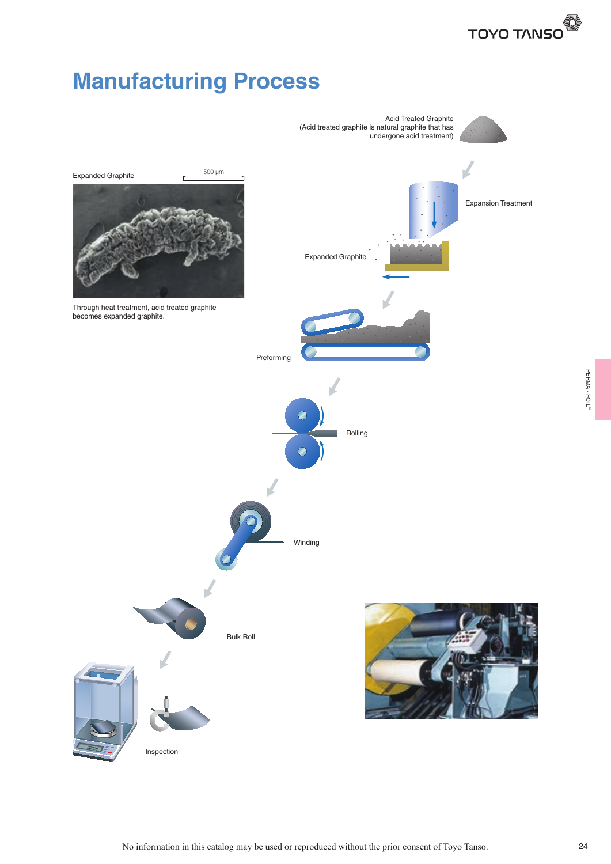

# **Manufacturing Process**

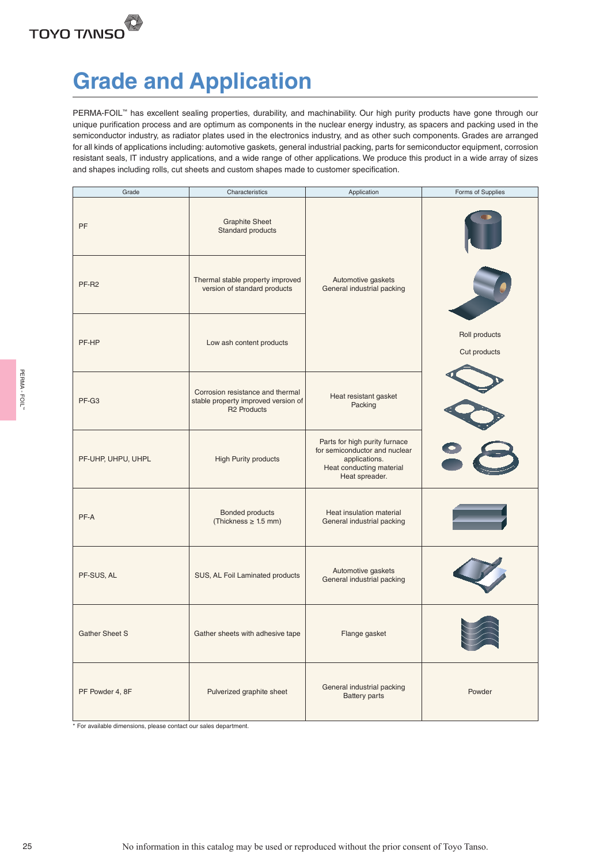

# **Grade and Application**

PERMA-FOIL™ has excellent sealing properties, durability, and machinability. Our high purity products have gone through our unique purification process and are optimum as components in the nuclear energy industry, as spacers and packing used in the semiconductor industry, as radiator plates used in the electronics industry, and as other such components. Grades are arranged for all kinds of applications including: automotive gaskets, general industrial packing, parts for semiconductor equipment, corrosion resistant seals, IT industry applications, and a wide range of other applications. We produce this product in a wide array of sizes and shapes including rolls, cut sheets and custom shapes made to customer specification.

|             | Grade                                                            | Characteristics                                                                               | Application                                                                                                                   | Forms of Supplies             |
|-------------|------------------------------------------------------------------|-----------------------------------------------------------------------------------------------|-------------------------------------------------------------------------------------------------------------------------------|-------------------------------|
|             | PF                                                               | <b>Graphite Sheet</b><br>Standard products                                                    |                                                                                                                               |                               |
|             | PF-R2                                                            | Thermal stable property improved<br>version of standard products                              | Automotive gaskets<br>General industrial packing                                                                              |                               |
|             | PF-HP                                                            | Low ash content products                                                                      |                                                                                                                               | Roll products<br>Cut products |
| PERMA-FOIL" | PF-G3                                                            | Corrosion resistance and thermal<br>stable property improved version of<br><b>R2 Products</b> | Heat resistant gasket<br>Packing                                                                                              |                               |
|             | PF-UHP, UHPU, UHPL                                               | High Purity products                                                                          | Parts for high purity furnace<br>for semiconductor and nuclear<br>applications.<br>Heat conducting material<br>Heat spreader. |                               |
|             | PF-A                                                             | Bonded products<br>$(Thickness \geq 1.5 \text{ mm})$                                          | Heat insulation material<br>General industrial packing                                                                        |                               |
|             | PF-SUS, AL                                                       | SUS, AL Foil Laminated products                                                               | Automotive gaskets<br>General industrial packing                                                                              |                               |
|             | <b>Gather Sheet S</b>                                            | Gather sheets with adhesive tape                                                              | Flange gasket                                                                                                                 |                               |
|             | PF Powder 4, 8F                                                  | Pulverized graphite sheet                                                                     | General industrial packing<br><b>Battery parts</b>                                                                            | Powder                        |
|             | * For available dimensions, please contact our sales department. |                                                                                               |                                                                                                                               |                               |
|             |                                                                  |                                                                                               |                                                                                                                               |                               |
|             |                                                                  |                                                                                               |                                                                                                                               |                               |
| 25          |                                                                  |                                                                                               | No information in this catalog may be used or reproduced without the prior consent of Toyo Tanso.                             |                               |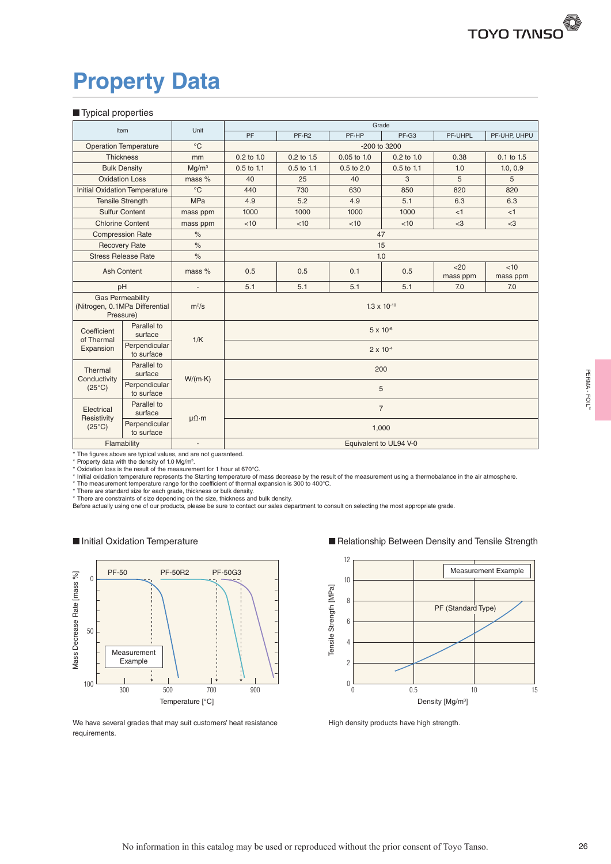# **Property Data**

### ■ Typical properties

|                                      | Item                                                                   | Unit                     | Grade                 |              |                        |              |                  |                 |  |  |  |  |  |  |
|--------------------------------------|------------------------------------------------------------------------|--------------------------|-----------------------|--------------|------------------------|--------------|------------------|-----------------|--|--|--|--|--|--|
|                                      |                                                                        |                          | PF                    | PF-R2        | PF-HP                  | PF-G3        | PF-UHPL          | PF-UHP, UHPU    |  |  |  |  |  |  |
|                                      | <b>Operation Temperature</b>                                           | $^{\circ}C$              |                       |              | -200 to 3200           |              |                  |                 |  |  |  |  |  |  |
|                                      | <b>Thickness</b>                                                       | mm                       | $0.2$ to $1.0$        | 0.2 to 1.5   | $0.05$ to $1.0$        | 0.2 to 1.0   | 0.38             | 0.1 to 1.5      |  |  |  |  |  |  |
|                                      | <b>Bulk Density</b>                                                    | Mq/m <sup>3</sup>        | $0.5$ to 1.1          | $0.5$ to 1.1 | $0.5$ to $2.0$         | $0.5$ to 1.1 | 1.0              | 1.0, 0.9        |  |  |  |  |  |  |
|                                      | <b>Oxidation Loss</b>                                                  | mass $%$                 | 40                    | 25           | 40                     | 3            | 5                | 5               |  |  |  |  |  |  |
| <b>Initial Oxidation Temperature</b> |                                                                        | $^{\circ}C$              | 440                   | 730          | 630                    | 850          | 820              | 820             |  |  |  |  |  |  |
|                                      | <b>Tensile Strength</b>                                                | <b>MPa</b>               | 4.9                   | 5.2          | 4.9                    | 5.1          | 6.3              | 6.3             |  |  |  |  |  |  |
|                                      | <b>Sulfur Content</b>                                                  | mass ppm                 | 1000                  | 1000         | 1000                   | 1000         | < 1              | < 1             |  |  |  |  |  |  |
|                                      | <b>Chlorine Content</b>                                                | mass ppm                 | < 10                  | <10          | $3$                    | $3$          |                  |                 |  |  |  |  |  |  |
|                                      | <b>Compression Rate</b>                                                | $\%$                     | 47                    |              |                        |              |                  |                 |  |  |  |  |  |  |
|                                      | <b>Recovery Rate</b>                                                   | $\frac{1}{\alpha}$       |                       |              | 15                     |              |                  |                 |  |  |  |  |  |  |
|                                      | <b>Stress Release Rate</b>                                             | $\frac{1}{6}$            | 1.0                   |              |                        |              |                  |                 |  |  |  |  |  |  |
|                                      | <b>Ash Content</b>                                                     | mass %                   | 0.5                   | 0.5          | 0.1                    | 0.5          | $20$<br>mass ppm | <10<br>mass ppm |  |  |  |  |  |  |
| pH                                   |                                                                        |                          | 5.1                   | 5.1          | 5.1                    | 5.1          | 7.0              | 7.0             |  |  |  |  |  |  |
|                                      | <b>Gas Permeability</b><br>(Nitrogen, 0.1MPa Differential<br>Pressure) | $m^2/s$                  | $1.3 \times 10^{-10}$ |              |                        |              |                  |                 |  |  |  |  |  |  |
| Coefficient<br>of Thermal            | Parallel to<br>surface                                                 | 1/K                      | $5 \times 10^{-6}$    |              |                        |              |                  |                 |  |  |  |  |  |  |
| Expansion                            | Perpendicular<br>to surface                                            |                          |                       |              | $2 \times 10^{-4}$     |              |                  |                 |  |  |  |  |  |  |
| Thermal<br>Conductivity              | Parallel to<br>surface                                                 |                          | 200                   |              |                        |              |                  |                 |  |  |  |  |  |  |
| $(25^{\circ}C)$                      | Perpendicular<br>to surface                                            | $W/(m \cdot K)$          | 5                     |              |                        |              |                  |                 |  |  |  |  |  |  |
| Electrical<br>Resistivity            | Parallel to<br>surface                                                 | $\mu\Omega \cdot m$      |                       |              | $\overline{7}$         |              |                  |                 |  |  |  |  |  |  |
| $(25^{\circ}C)$                      | Perpendicular<br>to surface                                            |                          |                       | 1,000        |                        |              |                  |                 |  |  |  |  |  |  |
| Flamability                          |                                                                        | $\overline{\phantom{a}}$ |                       |              | Equivalent to UL94 V-0 |              |                  |                 |  |  |  |  |  |  |

\* The figures above are typical values, and are not guaranteed.<br>\* Property data with the density of 1.0 Mg/m<sup>3</sup>.

\* Oxidation loss is the result of the measurement for 1 hour at 670°C.<br>\* Initial oxidation temperature represents the Starting temperature of mass decrease by the result of the measurement using a thermobalance in the air

Before actually using one of our products, please be sure to contact our sales department to consult on selecting the most appropriate grade.

### ■ Initial Oxidation Temperature



We have several grades that may suit customers' heat resistance requirements.

■ Relationship Between Density and Tensile Strength



High density products have high strength.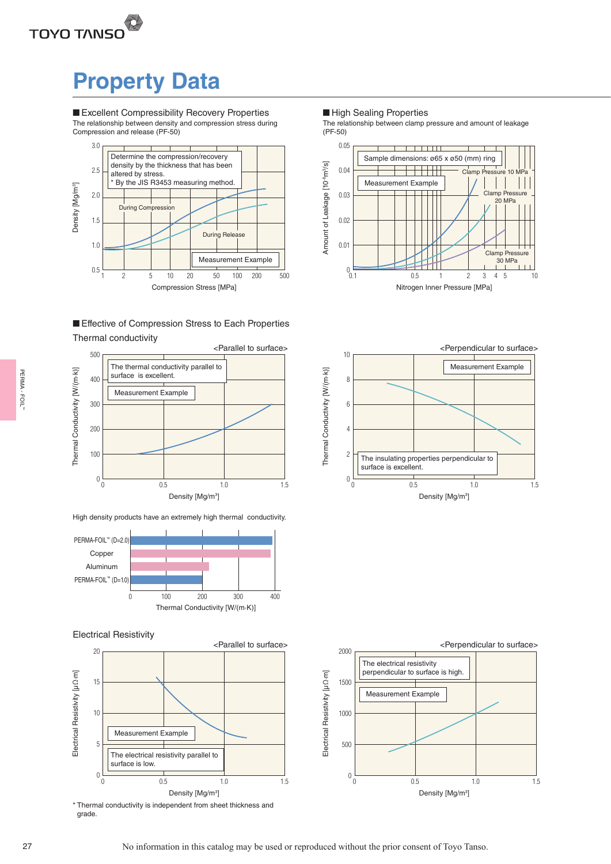# **Property Data**

■ Excellent Compressibility Recovery Properties The relationship between density and compression stress during Compression and release (PF-50)



## Thermal conductivity ■ Effective of Compression Stress to Each Properties



High density products have an extremely high thermal conductivity.



### Electrical Resistivity



\* Thermal conductivity is independent from sheet thickness and grade.

### ■ High Sealing Properties

The relationship between clamp pressure and amount of leakage (PF-50)





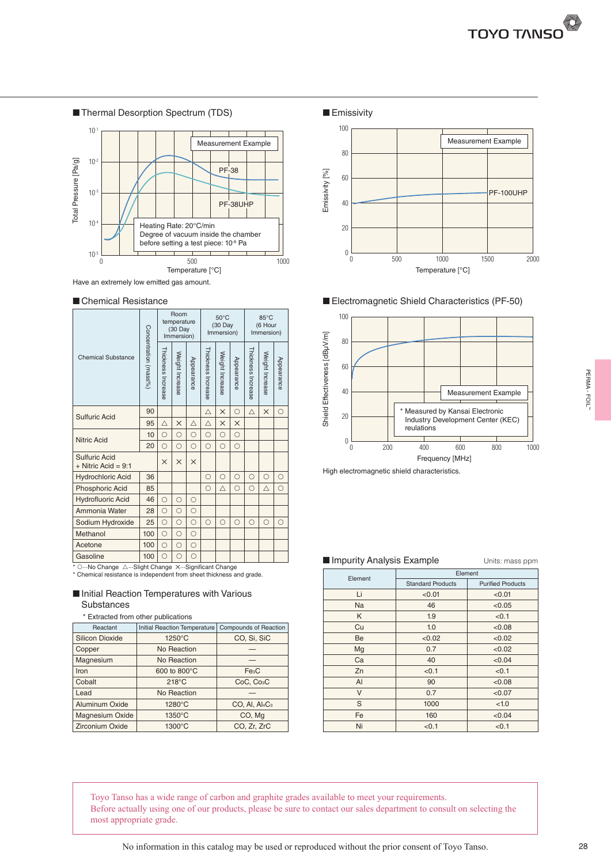



#### ■ Chemical Resistance

|                                                 |                       |                    | Room<br>temperature<br>(30 Day<br>Immersion) |            |                    | $50^{\circ}$ C<br>(30 Day<br>Immersion) |            |                    | 85°C<br>(6 Hour<br>Immersion) |            |
|-------------------------------------------------|-----------------------|--------------------|----------------------------------------------|------------|--------------------|-----------------------------------------|------------|--------------------|-------------------------------|------------|
| <b>Chemical Substance</b>                       | Concentration (mass%) | Thickness Increase | Weight Increase                              | Appearance | Thickness Increase | Weight Increase                         | Appearance | Thickness Increase | Weight Increase               | Appearance |
| <b>Sulfuric Acid</b>                            | 90                    |                    |                                              |            | Δ                  | $\times$                                | $\bigcirc$ | Δ                  | $\times$                      | $\bigcirc$ |
|                                                 | 95                    | Δ                  | $\times$                                     | Δ          | Δ                  | $\times$                                | $\times$   |                    |                               |            |
| 10<br><b>Nitric Acid</b>                        |                       | $\circ$            | $\circ$                                      | $\circ$    | $\bigcirc$         | $\circ$                                 | $\circ$    |                    |                               |            |
|                                                 | 20                    | $\bigcirc$         | $\bigcirc$                                   | $\bigcirc$ | $\bigcirc$         | $\bigcirc$                              | $\bigcirc$ |                    |                               |            |
| <b>Sulfuric Acid</b><br>$+$ Nitric Acid = 9:1   |                       | $\times$           | $\times$                                     | $\times$   |                    |                                         |            |                    |                               |            |
| <b>Hydrochloric Acid</b>                        | 36                    |                    |                                              |            | $\bigcirc$         | $\bigcirc$                              | $\bigcirc$ | $\bigcirc$         | $\bigcirc$                    | $\circ$    |
| Phosphoric Acid                                 | 85                    |                    |                                              |            | $\bigcirc$         | Δ                                       | $\bigcirc$ | $\bigcirc$         | Δ                             | $\circ$    |
| <b>Hydrofluoric Acid</b>                        | 46                    | $\bigcirc$         | $\bigcirc$                                   | $\bigcirc$ |                    |                                         |            |                    |                               |            |
| Ammonia Water                                   | 28                    | $\bigcirc$         | $\bigcirc$                                   | $\bigcirc$ |                    |                                         |            |                    |                               |            |
| Sodium Hydroxide                                | 25                    | $\bigcirc$         | $\bigcirc$                                   | $\bigcirc$ | $\bigcirc$         | $\bigcirc$                              | $\bigcirc$ | $\bigcirc$         | $\bigcirc$                    | $\bigcirc$ |
| Methanol                                        | 100                   | $\bigcirc$         | $\bigcirc$                                   | $\bigcirc$ |                    |                                         |            |                    |                               |            |
| Acetone                                         | 100                   | $\bigcirc$         | $\bigcirc$                                   | $\bigcirc$ |                    |                                         |            |                    |                               |            |
| Gasoline                                        | 100                   | $\bigcirc$         | ∩                                            | $\bigcirc$ |                    |                                         |            |                    |                               |            |
| * ONo Change ASlight Change XSignificant Change |                       |                    |                                              |            |                    |                                         |            |                    |                               |            |

\* Chemical resistance is independent from sheet thickness and grade.

### ■ Initial Reaction Temperatures with Various **Substances**

|  |  | * Extracted from other publications |
|--|--|-------------------------------------|
|  |  |                                     |

| Reactant               | <b>Initial Reaction Temperature</b> | <b>Compounds of Reaction</b> |
|------------------------|-------------------------------------|------------------------------|
| <b>Silicon Dioxide</b> | 1250°C                              | CO, Si, SiC                  |
| Copper                 | No Reaction                         |                              |
| Magnesium              | No Reaction                         |                              |
| Iron                   | 600 to 800°C                        | Fe <sub>3</sub> C            |
| Cobalt                 | $218^{\circ}$ C                     | CoC, Co <sub>3</sub> C       |
| Lead                   | No Reaction                         |                              |
| Aluminum Oxide         | 1280°C                              | $CO$ , Al, $Al_4C_3$         |
| <b>Magnesium Oxide</b> | $1350^{\circ}$ C                    | CO, Mg                       |
| <b>Zirconium Oxide</b> | 1300°C                              | CO, Zr, ZrC                  |
|                        |                                     |                              |



■ Electromagnetic Shield Characteristics (PF-50)



#### ■ Impurity Analysis Example Units: mass ppm

|                        |                                                    | Increase                   | Increase        | <b>arance</b> | ő<br>Increase | Increase    | entance    | š<br>Increase                          | Increase    | entance | Shield Effectivene | 40 |                                              |     |            |                          |                               |         | <b>Measurement Example</b>        |      |
|------------------------|----------------------------------------------------|----------------------------|-----------------|---------------|---------------|-------------|------------|----------------------------------------|-------------|---------|--------------------|----|----------------------------------------------|-----|------------|--------------------------|-------------------------------|---------|-----------------------------------|------|
|                        | 90                                                 |                            |                 |               | Δ             | X           | О          | Δ                                      | $\times$    | O       |                    | 20 |                                              |     |            |                          | Measured by Kansai Electronic |         |                                   |      |
|                        | 95                                                 | $\triangle$                | $\times$        | $\triangle$   | $\triangle$   | $\times$    | $\times$   |                                        |             |         |                    |    |                                              |     | reulations |                          |                               |         | Industry Development Center (KEC) |      |
|                        | 10                                                 | $\circ$                    | $\bigcirc$      | $\circ$       | $\circ$       | $\bigcirc$  | $\circ$    |                                        |             |         |                    | 0  |                                              |     |            |                          |                               |         |                                   |      |
|                        | 20                                                 | $\circ$                    | $\circ$         | $\circ$       | $\circ$       | $\circ$     | $\circ$    |                                        |             |         |                    |    | 0                                            | 200 |            | 400                      | 600                           |         | 800                               | 1000 |
|                        |                                                    | $\times$                   | $\times$        | $\times$      |               |             |            |                                        |             |         |                    |    |                                              |     |            |                          | Frequency [MHz]               |         |                                   |      |
| 9:1                    |                                                    |                            |                 |               |               |             |            |                                        |             |         |                    |    | High electromagnetic shield characteristics. |     |            |                          |                               |         |                                   |      |
| cid                    | 36                                                 |                            |                 |               | $\circ$       | $\bigcirc$  | $\bigcirc$ | $\circ$                                | $\bigcirc$  | $\circ$ |                    |    |                                              |     |            |                          |                               |         |                                   |      |
| id<br>bi:              | 85                                                 |                            | $\bigcirc$      | $\circ$       | $\circ$       | $\triangle$ | $\circ$    | $\circ$                                | $\triangle$ | $\circ$ |                    |    |                                              |     |            |                          |                               |         |                                   |      |
| 9ľ                     | 46<br>28                                           | $\circ$<br>О               | $\circ$         | $\circ$       |               |             |            |                                        |             |         |                    |    |                                              |     |            |                          |                               |         |                                   |      |
| kide                   | 25                                                 | $\bigcirc$                 | $\bigcirc$      | $\bigcirc$    | $\bigcirc$    | $\circ$     | $\bigcirc$ | $\circ$                                | $\bigcirc$  | $\circ$ |                    |    |                                              |     |            |                          |                               |         |                                   |      |
|                        | 100                                                | $\circ$                    | $\circ$         | $\circ$       |               |             |            |                                        |             |         |                    |    |                                              |     |            |                          |                               |         |                                   |      |
|                        | 100                                                | $\circ$                    | $\bigcirc$      | $\circ$       |               |             |            |                                        |             |         |                    |    |                                              |     |            |                          |                               |         |                                   |      |
|                        | 100                                                | O                          | ∩               | $\bigcirc$    |               |             |            |                                        |             |         |                    |    |                                              |     |            |                          |                               |         |                                   |      |
|                        | △…Slight Change X…Significant Change               |                            |                 |               |               |             |            |                                        |             |         |                    |    | Impurity Analysis Example                    |     |            |                          |                               |         | Units: mass ppm                   |      |
|                        | nce is independent from sheet thickness and grade. |                            |                 |               |               |             |            |                                        |             |         |                    |    | Element                                      |     |            |                          |                               | Element |                                   |      |
|                        | ction Temperatures with Various                    |                            |                 |               |               |             |            |                                        |             |         |                    |    |                                              |     |            | <b>Standard Products</b> |                               |         | <b>Purified Products</b>          |      |
|                        |                                                    |                            |                 |               |               |             |            |                                        |             |         |                    |    | Li<br>Na                                     |     |            | < 0.01                   |                               |         | < 0.01                            |      |
|                        |                                                    |                            |                 |               |               |             |            |                                        |             |         |                    |    | K                                            |     |            | 46<br>1.9                |                               |         | < 0.05<br>< 0.1                   |      |
| эs                     |                                                    |                            |                 |               |               |             |            | Compounds of Reaction                  |             |         |                    |    | Cu                                           |     |            | 1.0                      |                               |         | < 0.08                            |      |
|                        |                                                    |                            |                 |               |               |             |            |                                        |             |         |                    |    |                                              |     |            |                          |                               |         |                                   |      |
| rom other publications | Initial Reaction Temperature                       |                            |                 |               |               |             |            |                                        |             |         |                    |    |                                              |     |            |                          |                               |         |                                   |      |
|                        |                                                    |                            | 1250°C          |               |               |             |            | CO, Si, SiC                            |             |         |                    |    | Be                                           |     |            | < 0.02<br>0.7            |                               |         | < 0.02<br>< 0.02                  |      |
|                        |                                                    | No Reaction<br>No Reaction |                 |               |               |             |            |                                        |             |         |                    |    | Mg<br>Ca                                     |     |            | 40                       |                               |         |                                   |      |
|                        |                                                    | 600 to 800°C               |                 |               |               |             |            | Fe <sub>3</sub> C                      |             |         |                    |    | Zn                                           |     |            | < 0.1                    |                               |         | <0.04<br>< 0.1                    |      |
|                        |                                                    |                            | $218^{\circ}$ C |               |               |             |            | CoC, Co <sub>3</sub> C                 |             |         |                    |    | AI                                           |     |            | 90                       |                               |         | < 0.08                            |      |
|                        |                                                    | No Reaction                |                 |               |               |             |            |                                        |             |         |                    |    | V                                            |     |            | 0.7                      |                               |         | < 0.07                            |      |
| de                     |                                                    |                            | 1280°C          |               |               |             |            | CO, AI, AI <sub>4</sub> C <sub>3</sub> |             |         |                    |    | S                                            |     |            | 1000                     |                               |         | < 1.0                             |      |
| cide                   |                                                    |                            | 1350°C          |               |               |             |            | CO, Mg                                 |             |         |                    |    | Fe                                           |     |            | 160                      |                               |         | < 0.04                            |      |

Toyo Tanso has a wide range of carbon and graphite grades available to meet your requirements. Before actually using one of our products, please be sure to contact our sales department to consult on selecting the most appropriate grade.